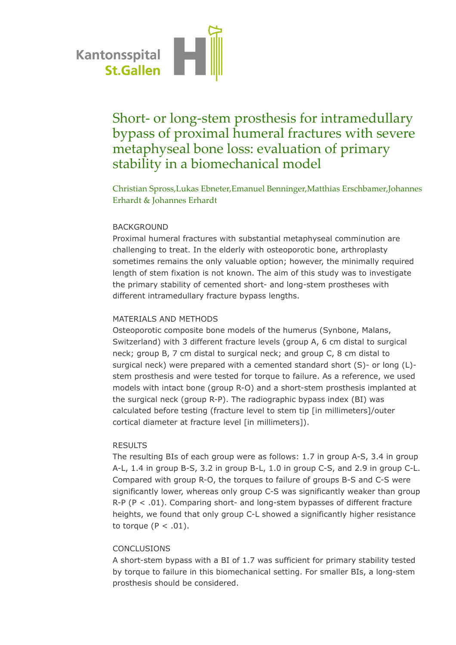

# Short- or long-stem prosthesis for intramedullary bypass of proximal humeral fractures with severe metaphyseal bone loss: evaluation of primary stability in a biomechanical model

Christian Spross,Lukas Ebneter,Emanuel Benninger,Matthias Erschbamer,Johannes Erhardt & Johannes Erhardt

## BACKGROUND

Proximal humeral fractures with substantial metaphyseal comminution are challenging to treat. In the elderly with osteoporotic bone, arthroplasty sometimes remains the only valuable option; however, the minimally required length of stem fixation is not known. The aim of this study was to investigate the primary stability of cemented short- and long-stem prostheses with different intramedullary fracture bypass lengths.

#### MATERIALS AND METHODS

Osteoporotic composite bone models of the humerus (Synbone, Malans, Switzerland) with 3 different fracture levels (group A, 6 cm distal to surgical neck; group B, 7 cm distal to surgical neck; and group C, 8 cm distal to surgical neck) were prepared with a cemented standard short (S)- or long (L) stem prosthesis and were tested for torque to failure. As a reference, we used models with intact bone (group R-O) and a short-stem prosthesis implanted at the surgical neck (group R-P). The radiographic bypass index (BI) was calculated before testing (fracture level to stem tip [in millimeters]/outer cortical diameter at fracture level [in millimeters]).

#### RESULTS

The resulting BIs of each group were as follows: 1.7 in group A-S, 3.4 in group A-L, 1.4 in group B-S, 3.2 in group B-L, 1.0 in group C-S, and 2.9 in group C-L. Compared with group R-O, the torques to failure of groups B-S and C-S were significantly lower, whereas only group C-S was significantly weaker than group  $R-P$  (P < .01). Comparing short- and long-stem bypasses of different fracture heights, we found that only group C-L showed a significantly higher resistance to torque  $(P < .01)$ .

### CONCLUSIONS

A short-stem bypass with a BI of 1.7 was sufficient for primary stability tested by torque to failure in this biomechanical setting. For smaller BIs, a long-stem prosthesis should be considered.